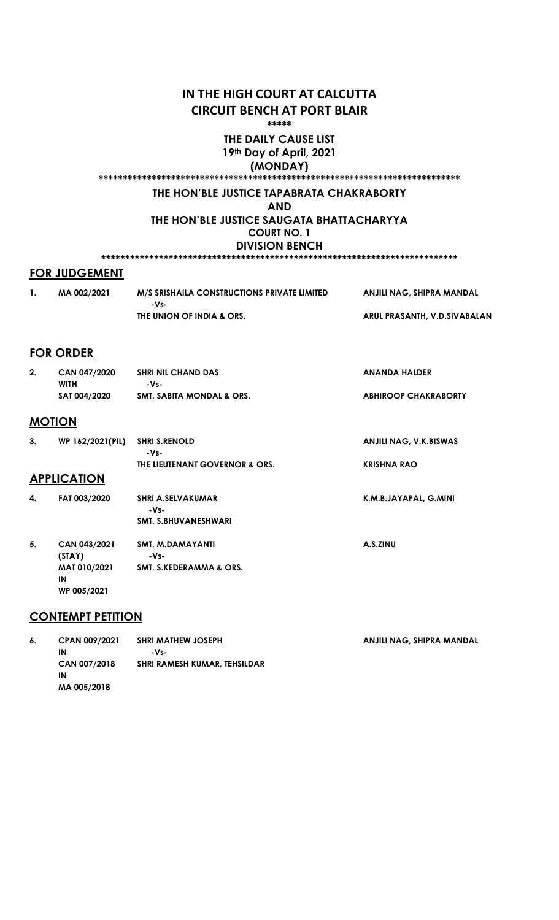# IN THE HIGH COURT AT CALCUTTA CIRCUIT BENCH AT PORT BLAIR

\*\*\*\*\*

### THE DAILY CAUSE LIST 19th Day of April, 2021

(MONDAY)

# \*\*\*\*\*\*\*\*\*\*\*\*\*\*\*\*\*\*\*\*\*\*\*\*\*\*\*\*\*\*\*\*\*\*\*\*\*\*\*\*\*\*\*\*\*\*\*\*\*\*\*\*\*\*\*\*\*\*\*\*\*\*\*\*\*\*\*\*\*\*\*\*\*\*\*

# THE HON'BLE JUSTICE TAPABRATA CHAKRABORTY

AND

THE HON'BLE JUSTICE SAUGATA BHATTACHARYYA COURT NO. 1 DIVISION BENCH

# \*\*\*\*\*\*\*\*\*\*\*\*\*\*\*\*\*\*\*\*\*\*\*\*\*\*\*\*\*\*\*\*\*\*\*\*\*\*\*\*\*\*\*\*\*\*\*\*\*\*\*\*\*\*\*\*\*\*\*\*\*\*\*\*\*\*\*\*\*\*\*\*\*\* FOR JUDGEMENT

| MA 002/2021 | M/S SRISHAILA CONSTRUCTIONS PRIVATE LIMITED | ANJILI NAG. SHIPRA MANDAL    |
|-------------|---------------------------------------------|------------------------------|
|             | $-Vs-$                                      |                              |
|             | THE UNION OF INDIA & ORS.                   | ARUL PRASANTH, V.D.SIVABALAN |

### FOR ORDER

| 2.            | CAN 047/2020<br><b>WITH</b><br>SAT 004/2020 | <b>SHRI NIL CHAND DAS</b><br>-Vs-<br><b>SMT. SABITA MONDAL &amp; ORS.</b> | <b>ANANDA HALDER</b><br><b>ABHIROOP CHAKRABORTY</b> |
|---------------|---------------------------------------------|---------------------------------------------------------------------------|-----------------------------------------------------|
| <b>MOTION</b> |                                             |                                                                           |                                                     |
| 3.            | WP 162/2021(PIL)                            | <b>SHRI S.RENOLD</b><br>-Vs-                                              | <b>ANJILI NAG, V.K.BISWAS</b>                       |
|               | <b>APPLICATION</b>                          | THE LIEUTENANT GOVERNOR & ORS.                                            | <b>KRISHNA RAO</b>                                  |
| 4.            | FAT 003/2020                                | <b>SHRI A.SELVAKUMAR</b><br>-Vs-<br><b>SMT. S.BHUVANESHWARI</b>           | K.M.B.JAYAPAL, G.MINI                               |

A.S.ZINU

| <b>SMT. S.KEDERAMMA &amp; ORS.</b> |
|------------------------------------|
|                                    |
|                                    |
|                                    |

SMT. M.DAMAYANTI

-Vs-

### CONTEMPT PETITION

5. CAN 043/2021 (STAY)

| 6. | <b>CPAN 009/2021</b> | <b>SHRI MATHEW JOSEPH</b>    | ANJILI NAG. SHIPRA MANDAL |
|----|----------------------|------------------------------|---------------------------|
|    | IN                   | -Vs-                         |                           |
|    | CAN 007/2018         | SHRI RAMESH KUMAR, TEHSILDAR |                           |
|    | IN                   |                              |                           |
|    | MA 005/2018          |                              |                           |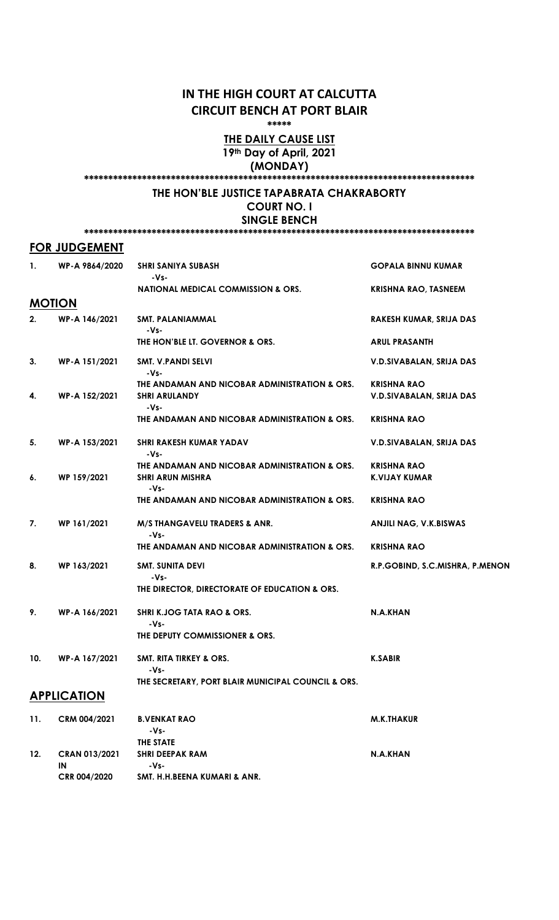# IN THE HIGH COURT AT CALCUTTA CIRCUIT BENCH AT PORT BLAIR

\*\*\*\*\*

### THE DAILY CAUSE LIST 19th Day of April, 2021 (MONDAY)

#### \*\*\*\*\*\*\*\*\*\*\*\*\*\*\*\*\*\*\*\*\*\*\*\*\*\*\*\*\*\*\*\*\*\*\*\*\*\*\*\*\*\*\*\*\*\*\*\*\*\*\*\*\*\*\*\*\*\*\*\*\*\*\*\*\*\*\*\*\*\*\*\*\*\*\*\*\*\*\*\*\*

#### THE HON'BLE JUSTICE TAPABRATA CHAKRABORTY COURT NO. I

SINGLE BENCH

\*\*\*\*\*\*\*\*\*\*\*\*\*\*\*\*\*\*\*\*\*\*\*\*\*\*\*\*\*\*\*\*\*\*\*\*\*\*\*\*\*\*\*\*\*\*\*\*\*\*\*\*\*\*\*\*\*\*\*\*\*\*\*\*\*\*\*\*\*\*\*\*\*\*\*\*\*\*\*\*\*

#### FOR JUDGEMENT

| 1.  | WP-A 9864/2020      | <b>SHRI SANIYA SUBASH</b><br>-Vs-                     | <b>GOPALA BINNU KUMAR</b>       |
|-----|---------------------|-------------------------------------------------------|---------------------------------|
|     |                     | <b>NATIONAL MEDICAL COMMISSION &amp; ORS.</b>         | <b>KRISHNA RAO, TASNEEM</b>     |
|     | <b>MOTION</b>       |                                                       |                                 |
| 2.  | WP-A 146/2021       | SMT. PALANIAMMAL<br>-Vs-                              | RAKESH KUMAR, SRIJA DAS         |
|     |                     | THE HON'BLE LT. GOVERNOR & ORS.                       | <b>ARUL PRASANTH</b>            |
| 3.  | WP-A 151/2021       | SMT. V.PANDI SELVI<br>-Vs-                            | V.D.SIVABALAN, SRIJA DAS        |
|     |                     | THE ANDAMAN AND NICOBAR ADMINISTRATION & ORS.         | <b>KRISHNA RAO</b>              |
| 4.  | WP-A 152/2021       | <b>SHRI ARULANDY</b><br>$-Vs-$                        | V.D.SIVABALAN, SRIJA DAS        |
|     |                     | THE ANDAMAN AND NICOBAR ADMINISTRATION & ORS.         | <b>KRISHNA RAO</b>              |
| 5.  | WP-A 153/2021       | <b>SHRI RAKESH KUMAR YADAV</b><br>-Vs-                | V.D.SIVABALAN, SRIJA DAS        |
|     |                     | THE ANDAMAN AND NICOBAR ADMINISTRATION & ORS.         | <b>KRISHNA RAO</b>              |
| 6.  | WP 159/2021         | <b>SHRI ARUN MISHRA</b><br>-Vs-                       | <b>K.VIJAY KUMAR</b>            |
|     |                     | THE ANDAMAN AND NICOBAR ADMINISTRATION & ORS.         | <b>KRISHNA RAO</b>              |
| 7.  | WP 161/2021         | M/S THANGAVELU TRADERS & ANR.<br>-Vs-                 | <b>ANJILI NAG, V.K.BISWAS</b>   |
|     |                     | THE ANDAMAN AND NICOBAR ADMINISTRATION & ORS.         | <b>KRISHNA RAO</b>              |
| 8.  | WP 163/2021         | <b>SMT. SUNITA DEVI</b>                               | R.P.GOBIND, S.C.MISHRA, P.MENON |
|     |                     | -Vs-<br>THE DIRECTOR, DIRECTORATE OF EDUCATION & ORS. |                                 |
| 9.  | WP-A 166/2021       | <b>SHRI K.JOG TATA RAO &amp; ORS.</b><br>-Vs-         | N.A.KHAN                        |
|     |                     | THE DEPUTY COMMISSIONER & ORS.                        |                                 |
| 10. | WP-A 167/2021       | <b>SMT. RITA TIRKEY &amp; ORS.</b><br>-Vs-            | <b>K.SABIR</b>                  |
|     |                     | THE SECRETARY, PORT BLAIR MUNICIPAL COUNCIL & ORS.    |                                 |
|     | <b>APPLICATION</b>  |                                                       |                                 |
| 11. | CRM 004/2021        | <b>B.VENKAT RAO</b><br>-Vs-                           | <b>M.K.THAKUR</b>               |
|     |                     | THE STATE                                             |                                 |
| 12. | CRAN 013/2021<br>IN | <b>SHRI DEEPAK RAM</b><br>-Vs-                        | N.A.KHAN                        |

CRR 004/2020 SMT. H.H.BEENA KUMARI & ANR.